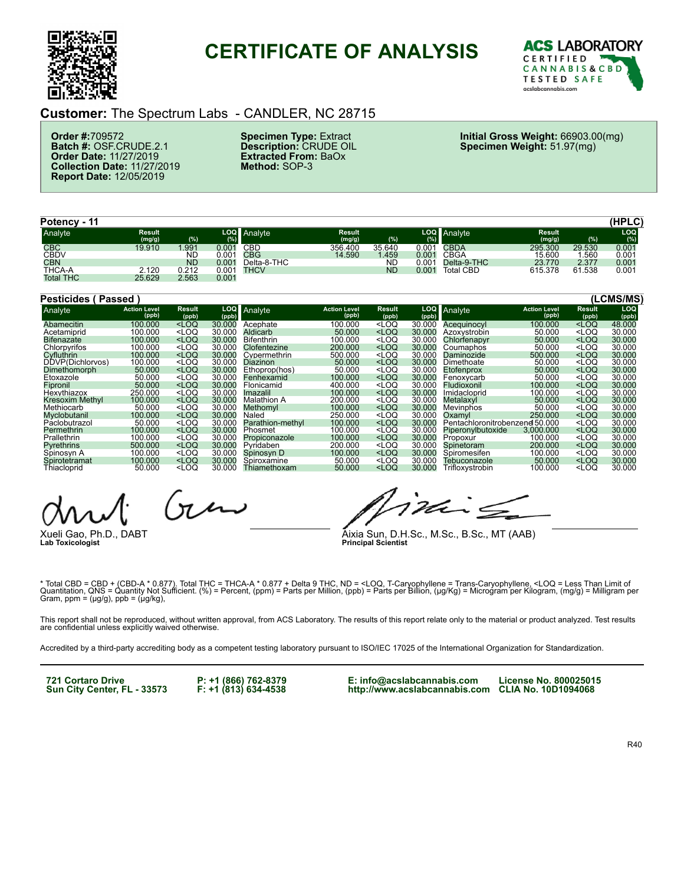

# **CERTIFICATE OF ANALYSIS**



#### **Customer:** The Spectrum Labs - CANDLER, NC 28715

**Order #:**709572 **Batch #:** OSF.CRUDE.2.1 **Order Date:** 11/27/2019 **Collection Date:** 11/27/2019 **Report Date:** 12/05/2019

**Specimen Type:** Extract **Description:** CRUDE OIL **Extracted From:** BaOx **Method:** SOP-3

**Initial Gross Weight:** 66903.00(mg) **Specimen Weight:** 51.97(mg)

| Potency - 11     |                         |           |           |             |                         |        |       |                  |                  |        | (HPLC) |
|------------------|-------------------------|-----------|-----------|-------------|-------------------------|--------|-------|------------------|------------------|--------|--------|
| Analyte          | <b>Result</b><br>(mg/g) | (%)       | LOQ<br>(% | Analyte     | <b>Result</b><br>(mg/g) | (%)    | (%)   | LOQ Analyte      | Result<br>(mg/g) | (%)    | LOC    |
| <b>CBC</b>       | 19.910                  | .991      | 0.001     | CBD         | 356.400                 | 35.640 | 0.001 | <b>CBDA</b>      | 295.300          | 29.530 | 0.001  |
| <b>CBDV</b>      |                         | <b>ND</b> | 0.001     | CBG         | 14.590                  | 1.459  | 0.001 | CBGA             | 15.600           | .560   | 0.001  |
| <b>CBN</b>       |                         | <b>ND</b> | 0.001     | Delta-8-THC |                         | ND     | 0.001 | Delta-9-THC      | 23.770           | 2.377  | 0.001  |
| THCA-A           | 2.120                   | 0.212     | 0.001     | THCV        |                         | ND     | 0.001 | <b>Total CBD</b> | 615.378          | 61.538 | 0.001  |
| <b>Total THC</b> | 25.629                  | 2.563     | 0.001     |             |                         |        |       |                  |                  |        |        |

| Pesticides (      | Passed '                     |                                                                                                                                                                                                                     |        |                    |                              |                                                                                                                            |        |                                |                              |                                    | (LCMS/MS)    |
|-------------------|------------------------------|---------------------------------------------------------------------------------------------------------------------------------------------------------------------------------------------------------------------|--------|--------------------|------------------------------|----------------------------------------------------------------------------------------------------------------------------|--------|--------------------------------|------------------------------|------------------------------------|--------------|
| Analyte           | <b>Action Level</b><br>(ppb) | Result<br>(ppb)                                                                                                                                                                                                     | (ppb)  | LOQ Analyte        | <b>Action Level</b><br>(ppb) | Result<br>(ppb)                                                                                                            | (ppb)  | LOQ Analyte                    | <b>Action Level</b><br>(ppb) | Result<br>(ppb)                    | LOQ<br>(ppb) |
| Abamecitin        | 100.000                      | $<$ LOQ                                                                                                                                                                                                             | 30,000 | Acephate           | 100.000                      | <loq< td=""><td>30.000</td><td>Acequinocyl</td><td>100,000</td><td><loq< td=""><td>48.000</td></loq<></td></loq<>          | 30.000 | Acequinocyl                    | 100,000                      | <loq< td=""><td>48.000</td></loq<> | 48.000       |
| Acetamiprid       | 100.000                      | <loq< td=""><td>30.000</td><td>Aldicarb</td><td>50.000</td><td><loq< td=""><td>30.000</td><td>Azoxystrobin</td><td>50,000</td><td><math>&lt;</math>LOQ</td><td>30.000</td></loq<></td></loq<>                       | 30.000 | Aldicarb           | 50.000                       | <loq< td=""><td>30.000</td><td>Azoxystrobin</td><td>50,000</td><td><math>&lt;</math>LOQ</td><td>30.000</td></loq<>         | 30.000 | Azoxystrobin                   | 50,000                       | $<$ LOQ                            | 30.000       |
| <b>Bifenazate</b> | 100.000                      | $<$ LOQ                                                                                                                                                                                                             | 30.000 | <b>Bifenthrin</b>  | 100.000                      | <loq< td=""><td>30.000</td><td>Chlorfenapyr</td><td>50,000</td><td><math>&lt;</math>LOQ</td><td>30.000</td></loq<>         | 30.000 | Chlorfenapyr                   | 50,000                       | $<$ LOQ                            | 30.000       |
| Chlorpyrifos      | 100.000                      | <loq< td=""><td>30.000</td><td>Clofentezine</td><td>200.000</td><td><math>&lt;</math>LOQ</td><td>30.000</td><td>Coumaphos</td><td>50.000</td><td><math>&lt;</math>LOQ</td><td>30.000</td></loq<>                    | 30.000 | Clofentezine       | 200.000                      | $<$ LOQ                                                                                                                    | 30.000 | Coumaphos                      | 50.000                       | $<$ LOQ                            | 30.000       |
| Cyfluthrin        | 100.000                      | $<$ LOQ                                                                                                                                                                                                             | 30.000 | Cvpermethrin       | 500.000                      | $<$ LOQ                                                                                                                    | 30.000 | Daminozide                     | 500.000                      | $<$ LOQ                            | 30.000       |
| DDVP(Dichlorvos)  | 100.000                      | <loq< td=""><td>30.000</td><td>Diazinon</td><td>50.000</td><td><loq< td=""><td>30.000</td><td>Dimethoate</td><td>50.000</td><td><math>&lt;</math>LOQ</td><td>30.000</td></loq<></td></loq<>                         | 30.000 | Diazinon           | 50.000                       | <loq< td=""><td>30.000</td><td>Dimethoate</td><td>50.000</td><td><math>&lt;</math>LOQ</td><td>30.000</td></loq<>           | 30.000 | Dimethoate                     | 50.000                       | $<$ LOQ                            | 30.000       |
| Dimethomorph      | 50.000                       | $<$ LOQ                                                                                                                                                                                                             | 30.000 | Ethoprop(hos)      | 50.000                       | <loq< td=""><td>30.000</td><td><b>Etofenprox</b></td><td>50,000</td><td><math>&lt;</math>LOQ</td><td>30.000</td></loq<>    | 30.000 | <b>Etofenprox</b>              | 50,000                       | $<$ LOQ                            | 30.000       |
| Etoxazole         | 50.000                       | $<$ LOQ                                                                                                                                                                                                             | 30.000 | Fenhexamid         | 100.000                      | $<$ LOQ                                                                                                                    | 30.000 | Fenoxycarb                     | 50.000                       | $<$ LOQ                            | 30.000       |
| Fipronil          | 50,000                       | $<$ LOQ                                                                                                                                                                                                             | 30.000 | Flonicamid         | 400.000                      | $<$ LOQ                                                                                                                    | 30.000 | Fludioxonil                    | 100.000                      | $<$ LOQ                            | 30.000       |
| Hexythiazox       | 250.000                      | $<$ LOQ                                                                                                                                                                                                             | 30.000 | Imazalil           | 100.000                      | $<$ LOQ                                                                                                                    | 30.000 | Imidacloprid                   | 100.000                      | $<$ LOQ                            | 30,000       |
| Kresoxim Methyl   | 100.000                      | $<$ LOQ                                                                                                                                                                                                             | 30.000 | <b>Malathion A</b> | 200.000                      | $<$ LOQ                                                                                                                    | 30.000 | Metalaxvl                      | 50,000                       | $<$ LOQ                            | 30.000       |
| Methiocarb        | 50,000                       | <loq< td=""><td>30.000</td><td>Methomyl</td><td>100.000</td><td><math>&lt;</math>LOQ</td><td>30.000</td><td>Mevinphos</td><td>50,000</td><td><math>&lt;</math>LOQ</td><td>30,000</td></loq<>                        | 30.000 | Methomyl           | 100.000                      | $<$ LOQ                                                                                                                    | 30.000 | Mevinphos                      | 50,000                       | $<$ LOQ                            | 30,000       |
| Myclobutanil      | 100.000                      | $<$ LOQ                                                                                                                                                                                                             | 30.000 | Naled              | 250.000                      | <loq< td=""><td>30.000</td><td>Oxamyl</td><td>250,000</td><td><math>&lt;</math>LOQ</td><td>30.000</td></loq<>              | 30.000 | Oxamyl                         | 250,000                      | $<$ LOQ                            | 30.000       |
| Páclobutrazol     | 50.000                       | <loq< td=""><td>30.000</td><td>Parathion-methyl</td><td>100.000</td><td><math>&lt;</math>LOQ</td><td>30.000</td><td>Pentachloronitrobenzene 50,000</td><td></td><td><math>&lt;</math>LOQ</td><td>30.000</td></loq<> | 30.000 | Parathion-methyl   | 100.000                      | $<$ LOQ                                                                                                                    | 30.000 | Pentachloronitrobenzene 50,000 |                              | $<$ LOQ                            | 30.000       |
| Permethrin        | 100.000                      | $<$ LOQ                                                                                                                                                                                                             | 30.000 | Phosmet            | 100.000                      | <loq< td=""><td>30.000</td><td>Piperonylbutoxide</td><td>3.000.000</td><td><math>&lt;</math>LOQ</td><td>30.000</td></loq<> | 30.000 | Piperonylbutoxide              | 3.000.000                    | $<$ LOQ                            | 30.000       |
| Prallethrin       | 100.000                      | <loq< td=""><td>30.000</td><td>Propiconazole</td><td>100.000</td><td><loq< td=""><td>30.000</td><td>Propoxur</td><td>100.000</td><td><loq< td=""><td>30.000</td></loq<></td></loq<></td></loq<>                     | 30.000 | Propiconazole      | 100.000                      | <loq< td=""><td>30.000</td><td>Propoxur</td><td>100.000</td><td><loq< td=""><td>30.000</td></loq<></td></loq<>             | 30.000 | Propoxur                       | 100.000                      | <loq< td=""><td>30.000</td></loq<> | 30.000       |
| <b>Pyrethrins</b> | 500.000                      | $<$ LOQ                                                                                                                                                                                                             | 30.000 | Pyridaben          | 200.000                      | <loq< td=""><td>30.000</td><td>Spinetoram</td><td>200,000</td><td><math>&lt;</math>LOQ</td><td>30.000</td></loq<>          | 30.000 | Spinetoram                     | 200,000                      | $<$ LOQ                            | 30.000       |
| Spinosyn A        | 100.000                      | $<$ LOQ                                                                                                                                                                                                             | 30.000 | Spinosyn D         | 100.000                      | $<$ LOQ                                                                                                                    | 30.000 | Spiromesifen                   | 100.000                      | $<$ LOQ                            | 30.000       |
| Spirotetramat     | 100.000                      | $<$ LOQ                                                                                                                                                                                                             | 30,000 | Spiroxamine        | 50.000                       | <loq< td=""><td>30,000</td><td>Tebuconazole</td><td>50,000</td><td><math>&lt;</math>LOQ</td><td>30,000</td></loq<>         | 30,000 | Tebuconazole                   | 50,000                       | $<$ LOQ                            | 30,000       |
| Thiacloprid       | 50.000                       | <loq< td=""><td>30.000</td><td>Thiamethoxam</td><td>50.000</td><td><math>&lt;</math>LOQ</td><td>30.000</td><td>Trifloxystrobin</td><td>100.000</td><td><loq< td=""><td>30.000</td></loq<></td></loq<>               | 30.000 | Thiamethoxam       | 50.000                       | $<$ LOQ                                                                                                                    | 30.000 | Trifloxystrobin                | 100.000                      | <loq< td=""><td>30.000</td></loq<> | 30.000       |

 $n \sim$ 

Xueli Gao, Ph.D., DABT **Lab Toxicologist**

ina

Aixia Sun, D.H.Sc., M.Sc., B.Sc., MT (AAB) **Principal Scientist**

\* Total CBD = CBD + (CBD-A \* 0.877). Total THC = THCA-A \* 0.877 + Delta 9 THC, ND = <LOQ, T-Caryophyllene = Trans-Caryophyllene, <LOQ = Less Than Limit of<br>Quantitation, QNS = Quantity Not Sufficient. (%) = Percent, (ppm) =

This report shall not be reproduced, without written approval, from ACS Laboratory. The results of this report relate only to the material or product analyzed. Test results<br>are confidential unless explicitly waived otherwi

Accredited by a third-party accrediting body as a competent testing laboratory pursuant to ISO/IEC 17025 of the International Organization for Standardization.

**721 Cortaro Drive Sun City Center, FL - 33573** **P: +1 (866) 762-8379 F: +1 (813) 634-4538**

**E: info@acslabcannabis.com http://www.acslabcannabis.com CLIA No. 10D1094068**

**License No. 800025015**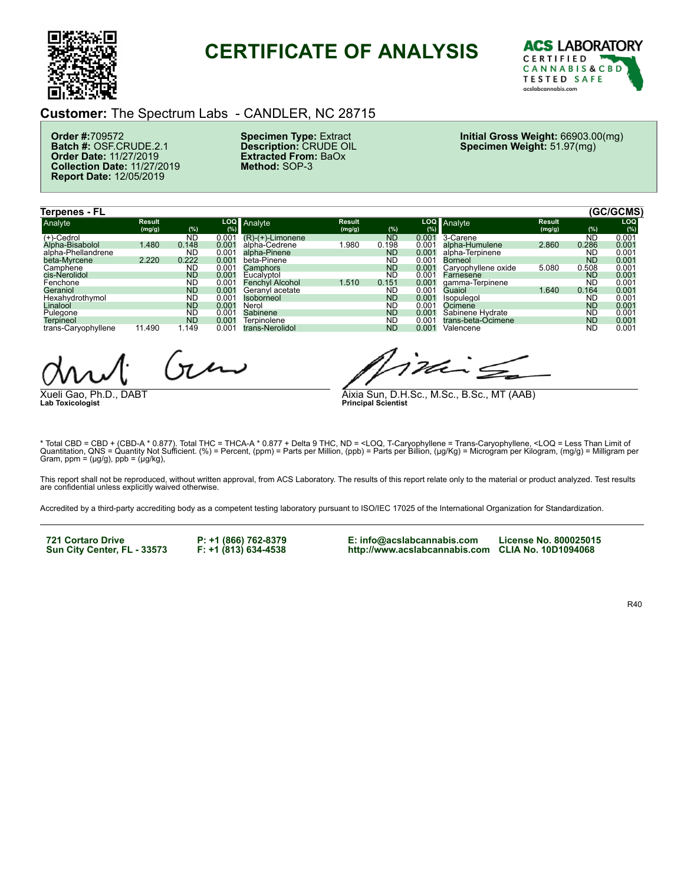

### **CERTIFICATE OF ANALYSIS**



#### **Customer:** The Spectrum Labs - CANDLER, NC 28715

**Order #:**709572 **Batch #:** OSF.CRUDE.2.1 **Order Date:** 11/27/2019 **Collection Date:** 11/27/2019 **Report Date:** 12/05/2019

**Specimen Type:** Extract **Description:** CRUDE OIL **Extracted From:** BaOx **Method:** SOP-3

**Initial Gross Weight:** 66903.00(mg) **Specimen Weight:** 51.97(mg)

| <b>Terpenes - FL</b> |                         |           |       |                        |                         |           |                   |                     |                         |           | (GC/GCMS)         |
|----------------------|-------------------------|-----------|-------|------------------------|-------------------------|-----------|-------------------|---------------------|-------------------------|-----------|-------------------|
| Analyte              | <b>Result</b><br>(mg/g) | (%)       | (%)   | LOQ Analyte            | <b>Result</b><br>(mg/g) | (%)       | <b>LOQ</b><br>(%) | Analyte             | <b>Result</b><br>(mg/g) | (% )      | LOQ.<br>(%)       |
| $(+)$ -Cedrol        |                         | <b>ND</b> | 0.001 | $(R)-(+)$ -Limonene    |                         | <b>ND</b> | 0.001             | 3-Carene            |                         | <b>ND</b> | 0.001             |
| Alpha-Bisabolol      | 1.480                   | 0.148     | 0.001 | alpha-Cedrene          | .980                    | 0.198     | 0.001             | alpha-Humulene      | 2.860                   | 0.286     | 0.001             |
| alpha-Phellandrene   |                         | <b>ND</b> | 0.001 | alpha-Pinene           |                         | <b>ND</b> | 0.001             | alpha-Terpinene     |                         | ND        | 0.00 <sup>2</sup> |
| beta-Myrcene         | 2.220                   | 0.222     | 0.001 | beta-Pinene            |                         | ND        | 0.001             | Borneol             |                         | <b>ND</b> | 0.001             |
| Camphene             |                         | <b>ND</b> | 0.001 | Camphors               |                         | <b>ND</b> | 0.001             | Carvophyllene oxide | 5.080                   | 0.508     | 0.00 <sup>2</sup> |
| cis-Nerolidol        |                         | <b>ND</b> | 0.001 | Eucalvptol             |                         | ND        | 0.001             | Farnesene           |                         | <b>ND</b> | 0.001             |
| Fenchone             |                         | <b>ND</b> | 0.001 | <b>Fenchyl Alcohol</b> | 1.510                   | 0.151     | 0.001             | gamma-Terpinene     |                         | <b>ND</b> | 0.00 <sup>2</sup> |
| Geraniol             |                         | <b>ND</b> | 0.001 | Geranyl acetate        |                         | ND        | 0.001             | Guaiol              | 1.640                   | 0.164     | 0.001             |
| Hexahvdrothymol      |                         | <b>ND</b> | 0.001 | <b>Isoborneol</b>      |                         | <b>ND</b> | 0.001             | <b>Isopulegol</b>   |                         | <b>ND</b> | 0.001             |
| Linalool             |                         | <b>ND</b> | 0.001 | Nerol                  |                         | <b>ND</b> | 0.001             | Ocimene             |                         | <b>ND</b> | 0.001             |
| Pulegone             |                         | <b>ND</b> | 0.001 | Sabinene               |                         | <b>ND</b> | 0.001             | Sabinene Hydrate    |                         | <b>ND</b> | 0.00 <sup>2</sup> |
| <b>Terpineol</b>     |                         | <b>ND</b> | 0.001 | Terpinolene            |                         | <b>ND</b> | 0.001             | trans-beta-Ocimene  |                         | <b>ND</b> | 0.001             |
| trans-Caryophyllene  | 11.490                  | .149      | 0.001 | trans-Nerolidol        |                         | <b>ND</b> | 0.001             | Valencene           |                         | <b>ND</b> | 0.00 <sup>2</sup> |

 $(n \mu \nu)$ 

Xueli Gao, Ph.D., DABT **Lab Toxicologist**

ina

Aixia Sun, D.H.Sc., M.Sc., B.Sc., MT (AAB) **Principal Scientist**

\* Total CBD = CBD + (CBD-A \* 0.877). Total THC = THCA-A \* 0.877 + Delta 9 THC, ND = <LOQ, T-Caryophyllene = Trans-Caryophyllene, <LOQ = Less Than Limit of<br>Quantitation, QNS = Quantity Not Sufficient. (%) = Percent, (ppm) =  $Gram$ ,  $ppm = (\mu g/g)$ ,  $ppb = (\mu g/kg)$ ,

This report shall not be reproduced, without written approval, from ACS Laboratory. The results of this report relate only to the material or product analyzed. Test results<br>are confidential unless explicitly waived otherwi

Accredited by a third-party accrediting body as a competent testing laboratory pursuant to ISO/IEC 17025 of the International Organization for Standardization.

**721 Cortaro Drive Sun City Center, FL - 33573** **P: +1 (866) 762-8379 F: +1 (813) 634-4538** **E: info@acslabcannabis.com http://www.acslabcannabis.com CLIA No. 10D1094068**

**License No. 800025015**

R40